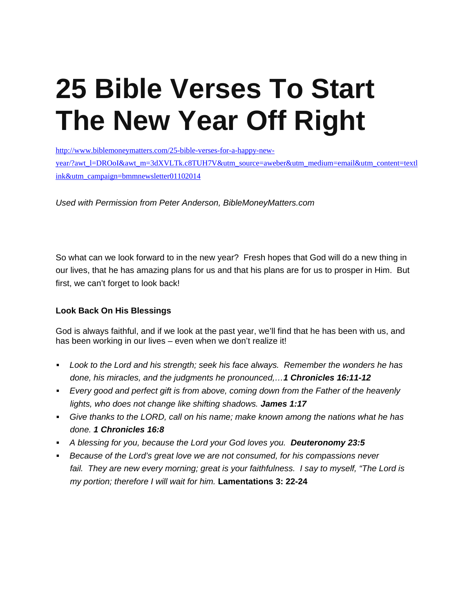# **25 Bible Verses To Start The New Year Off Right**

[http://www.biblemoneymatters.com/25-bible-verses-for-a-happy-new](http://www.biblemoneymatters.com/25-bible-verses-for-a-happy-new-year/?awt_l=DROoI&awt_m=3dXVLTk.c8TUH7V&utm_source=aweber&utm_medium=email&utm_content=textlink&utm_campaign=bmmnewsletter01102014)[year/?awt\\_l=DROoI&awt\\_m=3dXVLTk.c8TUH7V&utm\\_source=aweber&utm\\_medium=email&utm\\_content=textl](http://www.biblemoneymatters.com/25-bible-verses-for-a-happy-new-year/?awt_l=DROoI&awt_m=3dXVLTk.c8TUH7V&utm_source=aweber&utm_medium=email&utm_content=textlink&utm_campaign=bmmnewsletter01102014)

[ink&utm\\_campaign=bmmnewsletter01102014](http://www.biblemoneymatters.com/25-bible-verses-for-a-happy-new-year/?awt_l=DROoI&awt_m=3dXVLTk.c8TUH7V&utm_source=aweber&utm_medium=email&utm_content=textlink&utm_campaign=bmmnewsletter01102014)

*Used with Permission from Peter Anderson, BibleMoneyMatters.com* 

So what can we look forward to in the new year? Fresh hopes that God will do a new thing in our lives, that he has amazing plans for us and that his plans are for us to prosper in Him. But first, we can't forget to look back!

#### **Look Back On His Blessings**

God is always faithful, and if we look at the past year, we'll find that he has been with us, and has been working in our lives – even when we don't realize it!

- *Look to the Lord and his strength; seek his face always. Remember the wonders he has done, his miracles, and the judgments he pronounced,…1 Chronicles 16:11-12*
- *Every good and perfect gift is from above, coming down from the Father of the heavenly lights, who does not change like shifting shadows. James 1:17*
- *Give thanks to the LORD, call on his name; make known among the nations what he has done. 1 Chronicles 16:8*
- *A blessing for you, because the Lord your God loves you. Deuteronomy 23:5*
- *Because of the Lord's great love we are not consumed, for his compassions never*  fail. They are new every morning; great is your faithfulness. I say to myself, "The Lord is *my portion; therefore I will wait for him.* **Lamentations 3: 22-24**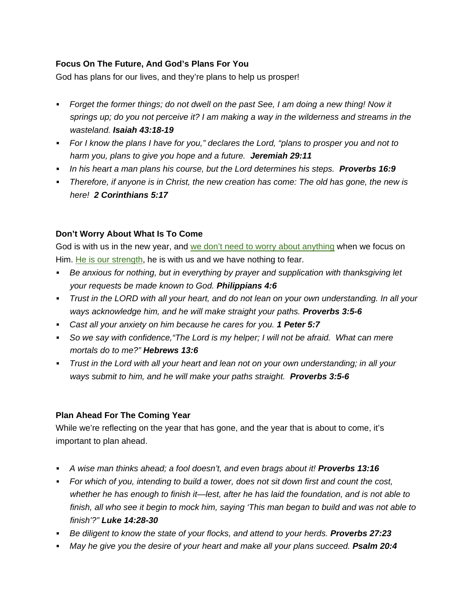## **Focus On The Future, And God's Plans For You**

God has plans for our lives, and they're plans to help us prosper!

- *Forget the former things; do not dwell on the past See, I am doing a new thing! Now it springs up; do you not perceive it? I am making a way in the wilderness and streams in the wasteland. Isaiah 43:18-19*
- *For I know the plans I have for you," declares the Lord, "plans to prosper you and not to harm you, plans to give you hope and a future. Jeremiah 29:11*
- **ID his heart a man plans his course, but the Lord determines his steps. Proverbs 16:9**
- *Therefore, if anyone is in Christ, the new creation has come: The old has gone, the new is here! 2 Corinthians 5:17*

### **Don't Worry About What Is To Come**

God is with us in the new year, and [we don't need to worry about anything](http://www.biblemoneymatters.com/bible-verses-about-money-what-does-the-bible-have-to-say-about-our-financial-lives/#worry) when we focus on Him. [He is our strength](http://www.biblemoneymatters.com/bible-verses-about-having-strength-during-hard-times/), he is with us and we have nothing to fear.

- *Be anxious for nothing, but in everything by prayer and supplication with thanksgiving let your requests be made known to God. Philippians 4:6*
- *Trust in the LORD with all your heart, and do not lean on your own understanding. In all your ways acknowledge him, and he will make straight your paths. Proverbs 3:5-6*
- *Cast all your anxiety on him because he cares for you. 1 Peter 5:7*
- *So we say with confidence,"The Lord is my helper; I will not be afraid. What can mere mortals do to me?" Hebrews 13:6*
- *Trust in the Lord with all your heart and lean not on your own understanding; in all your ways submit to him, and he will make your paths straight. Proverbs 3:5-6*

### **Plan Ahead For The Coming Year**

While we're reflecting on the year that has gone, and the year that is about to come, it's important to plan ahead.

- *A wise man thinks ahead; a fool doesn't, and even brags about it! Proverbs 13:16*
- *For which of you, intending to build a tower, does not sit down first and count the cost, whether he has enough to finish it—lest, after he has laid the foundation, and is not able to finish, all who see it begin to mock him, saying 'This man began to build and was not able to finish'?" Luke 14:28-30*
- **Be diligent to know the state of your flocks, and attend to your herds. Proverbs 27:23**
- *May he give you the desire of your heart and make all your plans succeed. Psalm 20:4*